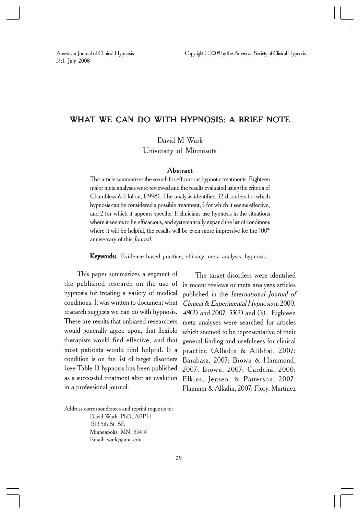## WHAT WE CAN DO WITH HYPNOSIS: A BRIEF NOTE

David M Wark University of Minnesota

#### **Abstract**

This article summarizes the search for efficacious hypnotic treatments. Eighteen major meta analyses were reviewed and the results evaluated using the criteria of Chambless & Hollon, (1998). The analysis identified 32 disorders for which hypnosis can be considered a possible treatment, 5 for which it seems effective, and 2 for which it appears specific. If clinicians use hypnosis in the situations where it seems to be efficacious, and systematically expand the list of conditions where it will be helpful, the results will be even more impressive for the  $100<sup>th</sup>$ anniversary of this Journal.

Keywords: Evidence based practice, efficacy, meta analysis, hypnosis.

This paper summarizes a segment of the published research on the use of hypnosis for treating a variety of medical conditions. It was written to document what research suggests we can do with hypnosis. These are results that unbiased researchers would generally agree upon, that flexible therapists would find effective, and that most patients would find helpful. If a condition is on the list of target disorders (see Table 1) hypnosis has been published as a successful treatment after an evalution in a professional journal.

The target disorders were identified in recent reviews or meta analyses articles published in the International Journal of Clinical & Experimental Hypnosis in 2000, <sup>48</sup>(2) and 2007, 55(2) and (3). Eighteen meta analyses were searched for articles which seemed to be representative of their general finding and usefulness for clinical practice (Alladin & Alibhai, 2007; Barabasz, 2007; Brown & Hammond, 2007; Brown, 2007; Cardeña, 2000; Elkins, Jensen, & Patterson, 2007; Flammer & Alladin, 2007; Flory, Martinez

Address correspondences and reprint requests to: David Wark, PhD, ABPH 1313 5th St. SE Minneapolis, MN 55414 Email: wark@umn.edu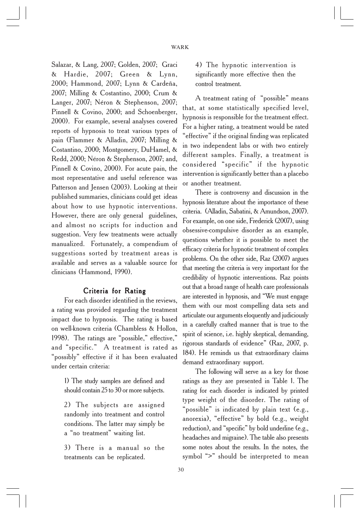Salazar, & Lang, 2007; Golden, 2007; Graci & Hardie, 2007; Green & Lynn, 2000; Hammond, 2007; Lynn & Cardeña, 2007; Milling & Costantino, 2000; Crum & Langer, 2007; Néron & Stephenson, 2007; Pinnell & Covino, 2000; and Schoenberger, 2000). For example, several analyses covered reports of hypnosis to treat various types of pain (Flammer & Alladin, 2007; Milling & Costantino, 2000; Montgomery, DuHamel, & Redd, 2000; Néron & Stephenson, 2007; and, Pinnell & Covino, 2000). For acute pain, the most representative and useful reference was Patterson and Jensen (2003). Looking at their published summaries, clinicians could get ideas about how to use hypnotic interventions. However, there are only general guidelines, and almost no scripts for induction and suggestion. Very few treatments were actually manualized. Fortunately, a compendium of suggestions sorted by treatment areas is available and serves as a valuable source for clinicians (Hammond, 1990).

### Criteria for Rating

For each disorder identified in the reviews, a rating was provided regarding the treatment impact due to hypnosis. The rating is based on well-known criteria (Chambless & Hollon, 1998). The ratings are "possible," effective," and "specific." A treatment is rated as "possibly" effective if it has been evaluated under certain criteria:

1) The study samples are defined and should contain 25 to 30 or more subjects.

2) The subjects are assigned randomly into treatment and control conditions. The latter may simply be a "no treatment" waiting list.

3) There is a manual so the treatments can be replicated.

4) The hypnotic intervention is significantly more effective then the control treatment.

A treatment rating of "possible" means that, at some statistically specified level, hypnosis is responsible for the treatment effect. For a higher rating, a treatment would be rated "effective" if the original finding was replicated in two independent labs or with two entirely different samples. Finally, a treatment is considered "specific" if the hypnotic intervention is significantly better than a placebo or another treatment.

There is controversy and discussion in the hypnosis literature about the importance of these criteria. (Alladin, Sabatini, & Amundson, 2007). For example, on one side, Frederick (2007), using obsessive-compulsive disorder as an example, questions whether it is possible to meet the efficacy criteria for hypnotic treatment of complex problems. On the other side, Raz (2007) argues that meeting the criteria is very important for the credibility of hypnotic interventions. Raz points out that a broad range of health care professionals are interested in hypnosis, and "We must engage them with our most compelling data sets and articulate our arguments eloquently and judiciously in a carefully crafted manner that is true to the spirit of science, i.e. highly skeptical, demanding, rigorous standards of evidence" (Raz, 2007, p. 184). He reminds us that extraordinary claims demand extraordinary support.

The following will serve as a key for those ratings as they are presented in Table 1. The rating for each disorder is indicated by printed type weight of the disorder. The rating of "possible" is indicated by plain text (e.g., anorexia), "effective" by bold (e.g., weight reduction), and "specific" by bold underline (e.g., headaches and migraine). The table also presents some notes about the results. In the notes, the symbol ">" should be interpreted to mean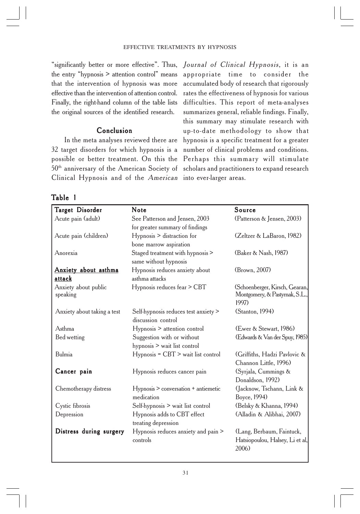"significantly better or more effective". Thus, the entry "hypnosis > attention control" means that the intervention of hypnosis was more effective than the intervention of attention control. Finally, the right-hand column of the table lists the original sources of the identified research.

## Conclusion

32 target disorders for which hypnosis is a possible or better treatment. On this the 50<sup>th</sup> anniversary of the American Society of scholars and practitioners to expand research Clinical Hypnosis and of the American into ever-larger areas.

In the meta analyses reviewed there are hypnosis is a specific treatment for a greater Journal of Clinical Hypnosis, it is an appropriate time to consider the accumulated body of research that rigorously rates the effectiveness of hypnosis for various difficulties. This report of meta-analyses summarizes general, reliable findings. Finally, this summary may stimulate research with up-to-date methodology to show that number of clinical problems and conditions. Perhaps this summary will stimulate

# Table 1

| Target Disorder                  | Note                                                       | Source                                                                    |
|----------------------------------|------------------------------------------------------------|---------------------------------------------------------------------------|
| Acute pain (adult)               | See Patterson and Jensen, 2003                             | (Patterson & Jensen, 2003)                                                |
|                                  | for greater summary of findings                            |                                                                           |
| Acute pain (children)            | Hypnosis > distraction for                                 | (Zeltzer & LaBaron, 1982)                                                 |
|                                  | bone marrow aspiration                                     |                                                                           |
| Anorexia                         | Staged treatment with hypnosis >                           | (Baker & Nash, 1987)                                                      |
|                                  | same without hypnosis                                      |                                                                           |
| <b>Anxiety about asthma</b>      | Hypnosis reduces anxiety about                             | (Brown, 2007)                                                             |
| attack                           | asthma attacks                                             |                                                                           |
| Anxiety about public<br>speaking | Hypnosis reduces fear > CBT                                | (Schoenberger, Kirsch, Gearan,<br>Montgomery, & Pastyrnak, S.L.,<br>1997) |
| Anxiety about taking a test      | Self-hypnosis reduces test anxiety ><br>discussion control | (Stanton, 1994)                                                           |
| Asthma                           | Hypnosis > attention control                               | (Ewer & Stewart, 1986)                                                    |
| Bed wetting                      | Suggestion with or without                                 | (Edwards & Van der Spuy, 1985)                                            |
|                                  | hypnosis > wait list control                               |                                                                           |
| Bulmia                           | $Hypnosis = CBT$ wait list control                         | (Griffiths, Hadzi Pavlovic &                                              |
|                                  |                                                            | Channon Little, 1996)                                                     |
| Cancer pain                      | Hypnosis reduces cancer pain                               | (Syrjala, Cummings &                                                      |
|                                  |                                                            | Donaldson, 1992)                                                          |
| Chemotherapy distress            | Hypnosis > conversation + antiemetic                       | (Jacknow, Tschann, Link &                                                 |
|                                  | medication                                                 | Boyce, 1994)                                                              |
| Cystic fibrosis                  | Self-hypnosis > wait list control                          | (Belsky & Khanna, 1994)                                                   |
| Depression                       | Hypnosis adds to CBT effect                                | (Alladin & Alibhai, 2007)                                                 |
|                                  | treating depression                                        |                                                                           |
| Distress during surgery          | Hypnosis reduces anxiety and pain ><br>controls            | (Lang, Berbaum, Faintuck,<br>Hatsiopoulou, Halsey, Li et al,              |
|                                  |                                                            | 2006)                                                                     |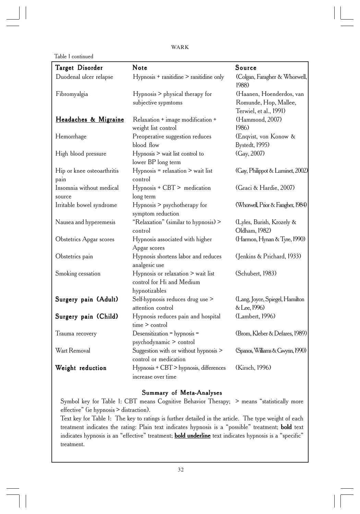```
WARK
```
Table 1 continued

| <b>Target Disorder</b>             | Note                                                                             | Source                                                                      |
|------------------------------------|----------------------------------------------------------------------------------|-----------------------------------------------------------------------------|
| Duodenal ulcer relapse             | Hypnosis + ranitidine > ranitidine only                                          | (Colgan, Faragher & Whorwell,<br>1988)                                      |
| Fibromyalgia                       | Hypnosis > physical therapy for<br>subjective sypmtoms                           | (Haanen, Hoenderdos, van<br>Romunde, Hop, Mallee,<br>Terwiel, et al., 1991) |
| Headaches & Migraine               | Relaxation + image modification +<br>weight list control                         | (Hammond, 2007)<br>1986)                                                    |
| Hemorrhage                         | Preoperative suggestion reduces<br>blood flow                                    | (Enqvist, von Konow &<br>Bystedt, 1995)                                     |
| High blood pressure                | Hypnosis > wait list control to<br>lower BP long term                            | (Gay, 2007)                                                                 |
| Hip or knee osteoarthritis<br>pain | Hypnosis = relaxation > wait list<br>control                                     | (Gay, Philippot & Luminet, 2002)                                            |
| Insomnia without medical<br>source | Hypnosis + CBT > medication<br>long term                                         | (Graci & Hardie, 2007)                                                      |
| Irritable bowel syndrome           | Hypnosis > psychotherapy for<br>symptom reduction                                | (Whorwell, Prior & Faragher, 1984)                                          |
| Nausea and hyperemesis             | "Relaxation" (similar to hypnosis) ><br>control                                  | (Lyles, Burish, Krozely &<br>Oldham, 1982)                                  |
| Obstetrics Apgar scores            | Hypnosis associated with higher<br>Apgar scores                                  | (Harmon, Hynan & Tyre, 1990)                                                |
| Obstetrics pain                    | Hypnosis shortens labor and reduces<br>analgesic use                             | (Jenkins & Prichard, 1933)                                                  |
| Smoking cessation                  | Hypnosis or relaxation > wait list<br>control for Hi and Medium<br>hypnotizables | (Schubert, 1983)                                                            |
| Surgery pain (Adult)               | Self-hypnosis reduces drug use ><br>attention control                            | (Lang, Joyce, Spiegel, Hamilton<br>& Lee, 1996)                             |
| Surgery pain (Child)               | Hypnosis reduces pain and hospital<br>time > control                             | (Lambert, 1996)                                                             |
| Trauma recovery                    | Desensitization = hypnosis =<br>psychodynamic > control                          | (Brom, Kleber & Defares, 1989)                                              |
| Wart Removal                       | Suggestion with or without hypnosis ><br>control or medication                   | (Spanos, Williams & Gwynn, 1990)                                            |
| Weight reduction                   | Hypnosis + CBT > hypnosis, differences<br>increase over time                     | (Kirsch, 1996)                                                              |

### Summary of Meta-Analyses

Symbol key for Table 1: CBT means Cognitive Behavior Therapy; > means "statistically more effective" (ie hypnosis > distraction).

Text key for Table 1: The key to ratings is further detailed in the article. The type weight of each treatment indicates the rating: Plain text indicates hypnosis is a "possible" treatment; bold text indicates hypnosis is an "effective" treatment; **bold underline** text indicates hypnosis is a "specific" treatment.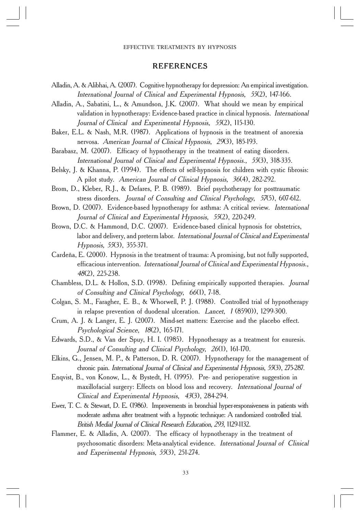#### REFERENCES

- Alladin, A. & Alibhai, A. (2007). Cognitive hypnotherapy for depression: An empirical investigation. International Journal of Clinical and Experimental Hypnosis, 55(2), 147-166.
- Alladin, A., Sabatini, L., & Amundson, J.K. (2007). What should we mean by empirical validation in hypnotherapy: Evidence-based practice in clinical hypnosis. International Journal of Clinical and Experimental Hypnosis, 55(2), 115-130.
- Baker, E.L. & Nash, M.R. (1987). Applications of hypnosis in the treatment of anorexia nervosa. American Journal of Clinical Hypnosis, 29(3), 185-193.
- Barabasz, M. (2007). Efficacy of hypnotherapy in the treatment of eating disorders. International Journal of Clinical and Experimental Hypnosis., 55(3), 318-335.
- Belsky, J. & Khanna, P. (1994). The effects of self-hypnosis for children with cystic fibrosis: A pilot study. American Journal of Clinical Hypnosis, 36(4), 282-292.
- Brom, D., Kleber, R.J., & Defares, P. B. (1989). Brief psychotherapy for posttraumatic stress disorders. Journal of Consulting and Clinical Psychology, 57(5), 607-612.
- Brown, D. (2007). Evidence-based hypnotherapy for asthma: A critical review. International Journal of Clinical and Experimental Hypnosis, 55(2), 220-249.
- Brown, D.C. & Hammond, D.C. (2007). Evidence-based clinical hypnosis for obstetrics, labor and delivery, and preterm labor. International Journal of Clinical and Experimental Hypnosis, 55(3), 355-371.
- Cardeña, E. (2000). Hypnosis in the treatment of trauma: A promising, but not fully supported, efficacious intervention. International Journal of Clinical and Experimental Hypnosis., <sup>48</sup>(2), 225-238.
- Chambless, D.L. & Hollon, S.D. (1998). Defining empirically supported therapies. Journal of Consulting and Clinical Psychology, 66(1), 7-18.
- Colgan, S. M., Faragher, E. B., & Whorwell, P. J. (1988). Controlled trial of hypnotherapy in relapse prevention of duodenal ulceration. Lancet, 1 (8590)), 1299-300.
- Crum, A. J. & Langer, E. J. (2007). Mind-set matters: Exercise and the placebo effect. Psychological Science, 18(2), 165-171.
- Edwards, S.D., & Van der Spuy, H. I. (1985). Hypnotherapy as a treatment for enuresis. Journal of Consulting and Clinical Psychology, 26(1), 161-170.
- Elkins, G., Jensen, M. P., & Patterson, D. R. (2007). Hypnotherapy for the management of chronic pain. International Journal of Clinical and Experimental Hypnosis, 55(3), 275-287.
- Enqvist, B., von Konow, L., & Bystedt, H. (1995). Pre- and perioperative suggestion in maxillofacial surgery: Effects on blood loss and recovery. International Journal of Clinical and Experimental Hypnosis, 43(3), 284-294.
- Ewer, T. C. & Stewart, D. E. (1986). Improvements in bronchial hyper-responsiveness in patients with moderate asthma after treatment with a hypnotic technique: A randomized controlled trial. British Medial Journal of Clinical Research Education, 293, 1129-1132.
- Flammer, E. & Alladin, A. (2007). The efficacy of hypnotherapy in the treatment of psychosomatic disorders: Meta-analytical evidence. International Journal of Clinical and Experimental Hypnosis, 55(3), 251-274.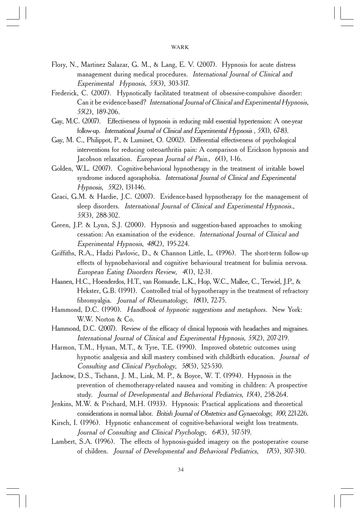- Flory, N., Martinez Salazar, G. M., & Lang, E. V. (2007). Hypnosis for acute distress management during medical procedures. International Journal of Clinical and Experimental Hypnosis, 55(3), 303-317.
- Frederick, C. (2007). Hypnotically facilitated treatment of obsessive-compulsive disorder: Can it be evidence-based? International Journal of Clinical and Experimental Hypnosis, <sup>55</sup>(2), 189-206.
- Gay, M.C. (2007). Effectiveness of hypnosis in reducing mild essential hypertension: A one-year follow-up. International Journal of Clinical and Experimental Hypnosis , <sup>55</sup>(1), 67-83.
- Gay, M. C., Philippot, P., & Luminet, O. (2002). Differential effectiveness of psychological interventions for reducing osteoarthritis pain: A comparison of Erickson hypnosis and Jacobson relaxation. European Journal of Pain., 6(1), 1-16.
- Golden, W.L. (2007). Cognitive-behavioral hypnotherapy in the treatment of irritable bowel syndrome induced agoraphobia. International Journal of Clinical and Experimental Hypnosis, 55(2), 131-146.
- Graci, G.M. & Hardie, J.C. (2007). Evidence-based hypnotherapy for the management of sleep disorders. International Journal of Clinical and Experimental Hypnosis., <sup>55</sup>(3), 288-302.
- Green, J.P. & Lynn, S.J. (2000). Hypnosis and suggestion-based approaches to smoking cessation: An examination of the evidence. International Journal of Clinical and Experimental Hypnosis, 48(2), 195-224.
- Griffiths, R.A., Hadzi Pavlovic, D., & Channon Little, L. (1996). The short-term follow-up effects of hypnobehavioral and cognitive behavioural treatment for bulimia nervosa. European Eating Disorders Review, 4(1), 12-31.
- Haanen, H.C., Hoenderdos, H.T., van Romunde, L.K., Hop, W.C., Mallee, C., Terwiel, J.P., & Hekster, G.B. (1991). Controlled trial of hypnotherapy in the treatment of refractory fibromyalgia. Journal of Rheumatology, 18(1), 72-75.
- Hammond, D.C. (1990). Handbook of hypnotic suggestions and metaphors. New York: W.W. Norton & Co.
- Hammond, D.C. (2007). Review of the efficacy of clinical hypnosis with headaches and migraines. International Journal of Clinical and Experimental Hypnosis, 55(2), 207-219.
- Harmon, T.M., Hynan, M.T., & Tyre, T.E. (1990). Improved obstetric outcomes using hypnotic analgesia and skill mastery combined with childbirth education. Journal of Consulting and Clinical Psychology, 58(5), 525-530.
- Jacknow, D.S., Tschann, J. M., Link, M. P., & Boyce, W. T. (1994). Hypnosis in the prevention of chemotherapy-related nausea and vomiting in children: A prospective study. Journal of Developmental and Behavioral Pediatrics, 15(4), 258-264.
- Jenkins, M.W. & Prichard, M.H. (1933). Hypnosis: Practical applications and theoretical considerations in normal labor. British Journal of Obstetrics and Gynaecology, 100, 221-226.
- Kirsch, I. (1996). Hypnotic enhancement of cognitive-behavioral weight loss treatments. Journal of Consulting and Clinical Psychology, 64(3), 517-519.
- Lambert, S.A. (1996). The effects of hypnosis-guided imagery on the postoperative course of children. Journal of Developmental and Behavioral Pediatrics, 17(5), 307-310.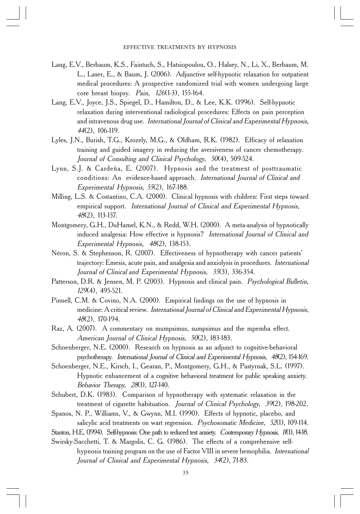- Lang, E.V., Berbaum, K.S., Faintuch, S., Hatsiopoulou, O., Halsey, N., Li, X., Berbaum, M. L., Laser, E., & Baum, J. (2006). Adjunctive self-hypnotic relaxation for outpatient medical procedures: A prospective randomized trial with women undergoing large core breast biopsy. Pain, 126(1-3), 155-164.
- Lang, E.V., Joyce, J.S., Spiegel, D., Hamilton, D., & Lee, K.K. (1996). Self-hypnotic relaxation during interventional radiological procedures: Effects on pain perception and intravenous drug use. International Journal of Clinical and Experimental Hypnosis, <sup>44</sup>(2), 106-119.
- Lyles, J.N., Burish, T.G., Krozely, M.G., & Oldham, R.K. (1982). Efficacy of relaxation training and guided imagery in reducing the aversiveness of cancer chemotherapy. Journal of Consulting and Clinical Psychology, 50(4), 509-524.
- Lynn, S.J. & Cardeña, E. (2007). Hypnosis and the treatment of posttraumatic conditions: An evidence-based approach. International Journal of Clinical and Experimental Hypnosis, 55(2), 167-188.
- Milling, L.S. & Costantino, C.A. (2000). Clinical hypnosis with children: First steps toward empirical support. International Journal of Clinical and Experimental Hypnosis, <sup>48</sup>(2), 113-137.
- Montgomery, G.H., DuHamel, K.N., & Redd, W.H. (2000). A meta-analysis of hypnotically induced analgesia: How effective is hypnosis? International Journal of Clinical and Experimental Hypnosis, 48(2), 138-153.
- Néron, S. & Stephenson, R. (2007). Effectiveness of hypnotherapy with cancer patients' trajectory: Emesis, acute pain, and analgesia and anxiolysis in procedures. International Journal of Clinical and Experimental Hypnosis, 55(3), 336-354.
- Patterson, D.R. & Jensen, M. P. (2003). Hypnosis and clinical pain. Psychological Bulletin, <sup>129</sup>(4), 495-521.
- Pinnell, C.M. & Covino, N.A. (2000). Empirical findings on the use of hypnosis in medicine: A critical review. International Journal of Clinical and Experimental Hypnosis, <sup>48</sup>(2), 170-194.
- Raz, A. (2007). A commentary on mumpsimus, sumpsimus and the mpemba effect. American Journal of Clinical Hypnosis, 50(2), 183-183.
- Schoenberger, N.E. (2000). Research on hypnosis as an adjunct to cognitive-behavioral psychotherapy. International Journal of Clinical and Experimental Hypnosis, 48(2), 154-169.
- Schoenberger, N.E., Kirsch, I., Gearan, P., Montgomery, G.H., & Pastyrnak, S.L. (1997). Hypnotic enhancement of a cognitive behavioral treatment for public speaking anxiety. Behavior Therapy, 28(1), 127-140.
- Schubert, D.K. (1983). Comparison of hypnotherapy with systematic relaxation in the treatment of cigarette habituation. Journal of Clinical Psychology, 39(2), 198-202.
- Spanos, N. P., Williams, V., & Gwynn, M.I. (1990). Effects of hypnotic, placebo, and salicylic acid treatments on wart regression. Psychosomatic Medicine, 52(1), 109-114.
- Stanton, H.E. (1994). Self-hypnosis: One path to reduced test anxiety. Contemporary Hypnosis, 1/(1), 14-18.
- Swirsky-Sacchetti, T. & Margolis, C. G. (1986). The effects of a comprehensive selfhypnosis training program on the use of Factor VIII in severe hemophilia. *International* Journal of Clinical and Experimental Hypnosis, 34(2), 71-83.